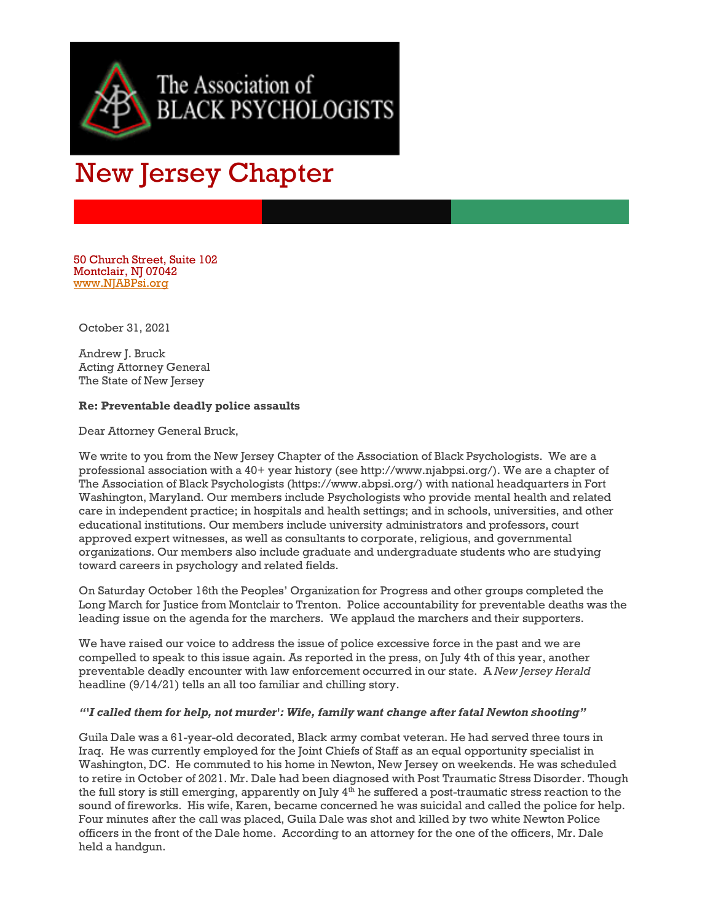

## New Jersey Chapter

50 Church Street, Suite 102 Montclair, NJ 07042 [www.NJABPsi.org](http://www.njabpsi.org/)

October 31, 2021

Andrew J. Bruck Acting Attorney General The State of New Jersey

## **Re: Preventable deadly police assaults**

Dear Attorney General Bruck,

We write to you from the New Jersey Chapter of the Association of Black Psychologists. We are a professional association with a 40+ year history (see http://www.njabpsi.org/). We are a chapter of The Association of Black Psychologists (https://www.abpsi.org/) with national headquarters in Fort Washington, Maryland. Our members include Psychologists who provide mental health and related care in independent practice; in hospitals and health settings; and in schools, universities, and other educational institutions. Our members include university administrators and professors, court approved expert witnesses, as well as consultants to corporate, religious, and governmental organizations. Our members also include graduate and undergraduate students who are studying toward careers in psychology and related fields.

On Saturday October 16th the Peoples' Organization for Progress and other groups completed the Long March for Justice from Montclair to Trenton. Police accountability for preventable deaths was the leading issue on the agenda for the marchers. We applaud the marchers and their supporters.

We have raised our voice to address the issue of police excessive force in the past and we are compelled to speak to this issue again. As reported in the press, on July 4th of this year, another preventable deadly encounter with law enforcement occurred in our state. A *New Jersey Herald* headline (9/14/21) tells an all too familiar and chilling story.

## *"'I called them for help, not murder': Wife, family want change after fatal Newton shooting"*

Guila Dale was a 61-year-old decorated, Black army combat veteran. He had served three tours in Iraq. He was currently employed for the Joint Chiefs of Staff as an equal opportunity specialist in Washington, DC. He commuted to his home in Newton, New Jersey on weekends. He was scheduled to retire in October of 2021. Mr. Dale had been diagnosed with Post Traumatic Stress Disorder. Though the full story is still emerging, apparently on July 4<sup>th</sup> he suffered a post-traumatic stress reaction to the sound of fireworks. His wife, Karen, became concerned he was suicidal and called the police for help. Four minutes after the call was placed, Guila Dale was shot and killed by two white Newton Police officers in the front of the Dale home. According to an attorney for the one of the officers, Mr. Dale held a handgun.